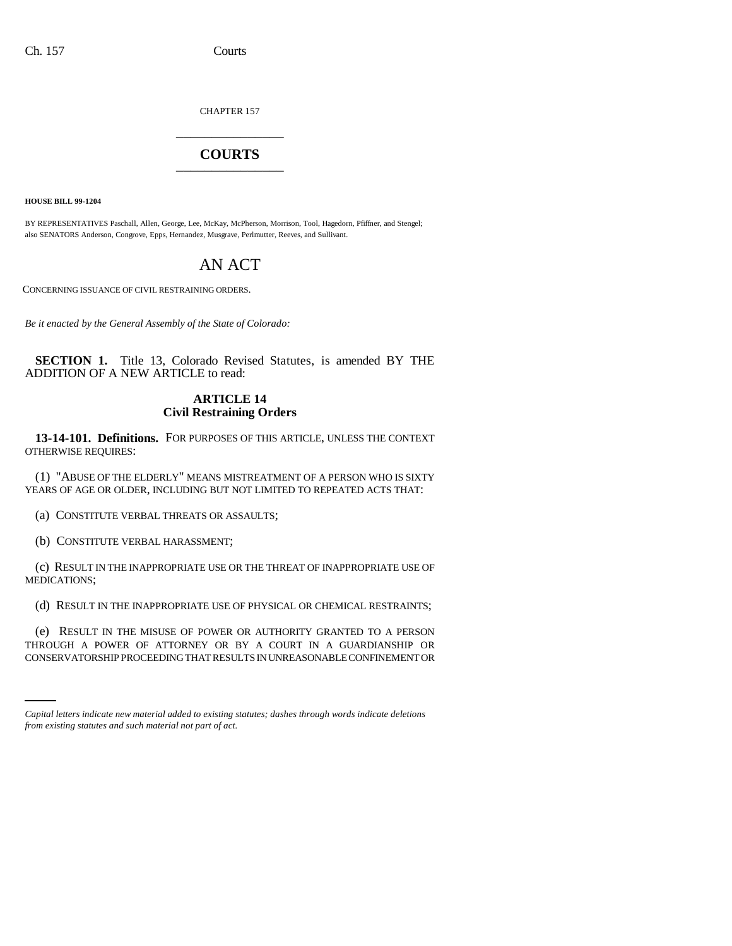CHAPTER 157 \_\_\_\_\_\_\_\_\_\_\_\_\_\_\_

## **COURTS** \_\_\_\_\_\_\_\_\_\_\_\_\_\_\_

**HOUSE BILL 99-1204** 

BY REPRESENTATIVES Paschall, Allen, George, Lee, McKay, McPherson, Morrison, Tool, Hagedorn, Pfiffner, and Stengel; also SENATORS Anderson, Congrove, Epps, Hernandez, Musgrave, Perlmutter, Reeves, and Sullivant.

# AN ACT

CONCERNING ISSUANCE OF CIVIL RESTRAINING ORDERS.

*Be it enacted by the General Assembly of the State of Colorado:*

**SECTION 1.** Title 13, Colorado Revised Statutes, is amended BY THE ADDITION OF A NEW ARTICLE to read:

### **ARTICLE 14 Civil Restraining Orders**

**13-14-101. Definitions.** FOR PURPOSES OF THIS ARTICLE, UNLESS THE CONTEXT OTHERWISE REQUIRES:

(1) "ABUSE OF THE ELDERLY" MEANS MISTREATMENT OF A PERSON WHO IS SIXTY YEARS OF AGE OR OLDER, INCLUDING BUT NOT LIMITED TO REPEATED ACTS THAT:

(a) CONSTITUTE VERBAL THREATS OR ASSAULTS;

(b) CONSTITUTE VERBAL HARASSMENT;

(c) RESULT IN THE INAPPROPRIATE USE OR THE THREAT OF INAPPROPRIATE USE OF MEDICATIONS;

(d) RESULT IN THE INAPPROPRIATE USE OF PHYSICAL OR CHEMICAL RESTRAINTS;

THROUGH A POWER OF ATTORNEY OR BY A COURT IN A GUARDIANSHIP OR (e) RESULT IN THE MISUSE OF POWER OR AUTHORITY GRANTED TO A PERSON CONSERVATORSHIP PROCEEDING THAT RESULTS IN UNREASONABLE CONFINEMENT OR

*Capital letters indicate new material added to existing statutes; dashes through words indicate deletions from existing statutes and such material not part of act.*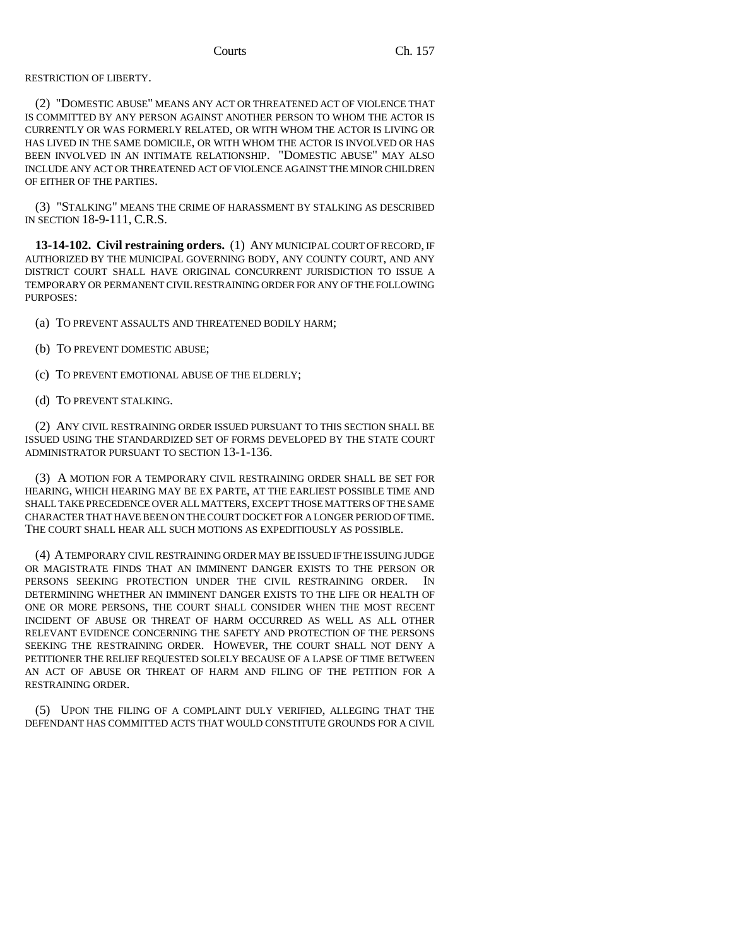### RESTRICTION OF LIBERTY.

(2) "DOMESTIC ABUSE" MEANS ANY ACT OR THREATENED ACT OF VIOLENCE THAT IS COMMITTED BY ANY PERSON AGAINST ANOTHER PERSON TO WHOM THE ACTOR IS CURRENTLY OR WAS FORMERLY RELATED, OR WITH WHOM THE ACTOR IS LIVING OR HAS LIVED IN THE SAME DOMICILE, OR WITH WHOM THE ACTOR IS INVOLVED OR HAS BEEN INVOLVED IN AN INTIMATE RELATIONSHIP. "DOMESTIC ABUSE" MAY ALSO INCLUDE ANY ACT OR THREATENED ACT OF VIOLENCE AGAINST THE MINOR CHILDREN OF EITHER OF THE PARTIES.

(3) "STALKING" MEANS THE CRIME OF HARASSMENT BY STALKING AS DESCRIBED IN SECTION 18-9-111, C.R.S.

**13-14-102. Civil restraining orders.** (1) ANY MUNICIPAL COURT OF RECORD, IF AUTHORIZED BY THE MUNICIPAL GOVERNING BODY, ANY COUNTY COURT, AND ANY DISTRICT COURT SHALL HAVE ORIGINAL CONCURRENT JURISDICTION TO ISSUE A TEMPORARY OR PERMANENT CIVIL RESTRAINING ORDER FOR ANY OF THE FOLLOWING PURPOSES:

- (a) TO PREVENT ASSAULTS AND THREATENED BODILY HARM;
- (b) TO PREVENT DOMESTIC ABUSE;
- (c) TO PREVENT EMOTIONAL ABUSE OF THE ELDERLY;
- (d) TO PREVENT STALKING.

(2) ANY CIVIL RESTRAINING ORDER ISSUED PURSUANT TO THIS SECTION SHALL BE ISSUED USING THE STANDARDIZED SET OF FORMS DEVELOPED BY THE STATE COURT ADMINISTRATOR PURSUANT TO SECTION 13-1-136.

(3) A MOTION FOR A TEMPORARY CIVIL RESTRAINING ORDER SHALL BE SET FOR HEARING, WHICH HEARING MAY BE EX PARTE, AT THE EARLIEST POSSIBLE TIME AND SHALL TAKE PRECEDENCE OVER ALL MATTERS, EXCEPT THOSE MATTERS OF THE SAME CHARACTER THAT HAVE BEEN ON THE COURT DOCKET FOR A LONGER PERIOD OF TIME. THE COURT SHALL HEAR ALL SUCH MOTIONS AS EXPEDITIOUSLY AS POSSIBLE.

(4) A TEMPORARY CIVIL RESTRAINING ORDER MAY BE ISSUED IF THE ISSUING JUDGE OR MAGISTRATE FINDS THAT AN IMMINENT DANGER EXISTS TO THE PERSON OR PERSONS SEEKING PROTECTION UNDER THE CIVIL RESTRAINING ORDER. IN DETERMINING WHETHER AN IMMINENT DANGER EXISTS TO THE LIFE OR HEALTH OF ONE OR MORE PERSONS, THE COURT SHALL CONSIDER WHEN THE MOST RECENT INCIDENT OF ABUSE OR THREAT OF HARM OCCURRED AS WELL AS ALL OTHER RELEVANT EVIDENCE CONCERNING THE SAFETY AND PROTECTION OF THE PERSONS SEEKING THE RESTRAINING ORDER. HOWEVER, THE COURT SHALL NOT DENY A PETITIONER THE RELIEF REQUESTED SOLELY BECAUSE OF A LAPSE OF TIME BETWEEN AN ACT OF ABUSE OR THREAT OF HARM AND FILING OF THE PETITION FOR A RESTRAINING ORDER.

(5) UPON THE FILING OF A COMPLAINT DULY VERIFIED, ALLEGING THAT THE DEFENDANT HAS COMMITTED ACTS THAT WOULD CONSTITUTE GROUNDS FOR A CIVIL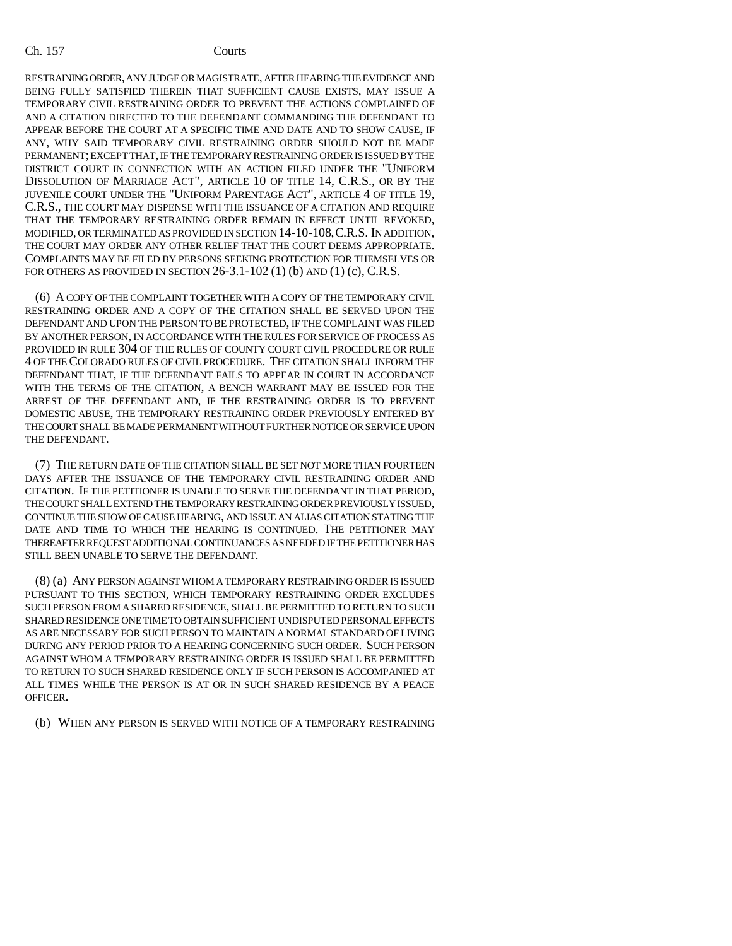RESTRAINING ORDER, ANY JUDGE OR MAGISTRATE, AFTER HEARING THE EVIDENCE AND BEING FULLY SATISFIED THEREIN THAT SUFFICIENT CAUSE EXISTS, MAY ISSUE A TEMPORARY CIVIL RESTRAINING ORDER TO PREVENT THE ACTIONS COMPLAINED OF AND A CITATION DIRECTED TO THE DEFENDANT COMMANDING THE DEFENDANT TO APPEAR BEFORE THE COURT AT A SPECIFIC TIME AND DATE AND TO SHOW CAUSE, IF ANY, WHY SAID TEMPORARY CIVIL RESTRAINING ORDER SHOULD NOT BE MADE PERMANENT; EXCEPT THAT, IF THE TEMPORARY RESTRAINING ORDER IS ISSUED BY THE DISTRICT COURT IN CONNECTION WITH AN ACTION FILED UNDER THE "UNIFORM DISSOLUTION OF MARRIAGE ACT", ARTICLE 10 OF TITLE 14, C.R.S., OR BY THE JUVENILE COURT UNDER THE "UNIFORM PARENTAGE ACT", ARTICLE 4 OF TITLE 19, C.R.S., THE COURT MAY DISPENSE WITH THE ISSUANCE OF A CITATION AND REQUIRE THAT THE TEMPORARY RESTRAINING ORDER REMAIN IN EFFECT UNTIL REVOKED, MODIFIED, OR TERMINATED AS PROVIDED IN SECTION 14-10-108,C.R.S. IN ADDITION, THE COURT MAY ORDER ANY OTHER RELIEF THAT THE COURT DEEMS APPROPRIATE. COMPLAINTS MAY BE FILED BY PERSONS SEEKING PROTECTION FOR THEMSELVES OR FOR OTHERS AS PROVIDED IN SECTION  $26-3.1-102(1)$  (b) AND  $(1)$  (c), C.R.S.

(6) A COPY OF THE COMPLAINT TOGETHER WITH A COPY OF THE TEMPORARY CIVIL RESTRAINING ORDER AND A COPY OF THE CITATION SHALL BE SERVED UPON THE DEFENDANT AND UPON THE PERSON TO BE PROTECTED, IF THE COMPLAINT WAS FILED BY ANOTHER PERSON, IN ACCORDANCE WITH THE RULES FOR SERVICE OF PROCESS AS PROVIDED IN RULE 304 OF THE RULES OF COUNTY COURT CIVIL PROCEDURE OR RULE 4 OF THE COLORADO RULES OF CIVIL PROCEDURE. THE CITATION SHALL INFORM THE DEFENDANT THAT, IF THE DEFENDANT FAILS TO APPEAR IN COURT IN ACCORDANCE WITH THE TERMS OF THE CITATION, A BENCH WARRANT MAY BE ISSUED FOR THE ARREST OF THE DEFENDANT AND, IF THE RESTRAINING ORDER IS TO PREVENT DOMESTIC ABUSE, THE TEMPORARY RESTRAINING ORDER PREVIOUSLY ENTERED BY THE COURT SHALL BE MADE PERMANENT WITHOUT FURTHER NOTICE OR SERVICE UPON THE DEFENDANT.

(7) THE RETURN DATE OF THE CITATION SHALL BE SET NOT MORE THAN FOURTEEN DAYS AFTER THE ISSUANCE OF THE TEMPORARY CIVIL RESTRAINING ORDER AND CITATION. IF THE PETITIONER IS UNABLE TO SERVE THE DEFENDANT IN THAT PERIOD, THE COURT SHALL EXTEND THE TEMPORARY RESTRAINING ORDER PREVIOUSLY ISSUED, CONTINUE THE SHOW OF CAUSE HEARING, AND ISSUE AN ALIAS CITATION STATING THE DATE AND TIME TO WHICH THE HEARING IS CONTINUED. THE PETITIONER MAY THEREAFTER REQUEST ADDITIONAL CONTINUANCES AS NEEDED IF THE PETITIONER HAS STILL BEEN UNABLE TO SERVE THE DEFENDANT.

(8) (a) ANY PERSON AGAINST WHOM A TEMPORARY RESTRAINING ORDER IS ISSUED PURSUANT TO THIS SECTION, WHICH TEMPORARY RESTRAINING ORDER EXCLUDES SUCH PERSON FROM A SHARED RESIDENCE, SHALL BE PERMITTED TO RETURN TO SUCH SHARED RESIDENCE ONE TIME TO OBTAIN SUFFICIENT UNDISPUTED PERSONAL EFFECTS AS ARE NECESSARY FOR SUCH PERSON TO MAINTAIN A NORMAL STANDARD OF LIVING DURING ANY PERIOD PRIOR TO A HEARING CONCERNING SUCH ORDER. SUCH PERSON AGAINST WHOM A TEMPORARY RESTRAINING ORDER IS ISSUED SHALL BE PERMITTED TO RETURN TO SUCH SHARED RESIDENCE ONLY IF SUCH PERSON IS ACCOMPANIED AT ALL TIMES WHILE THE PERSON IS AT OR IN SUCH SHARED RESIDENCE BY A PEACE OFFICER.

(b) WHEN ANY PERSON IS SERVED WITH NOTICE OF A TEMPORARY RESTRAINING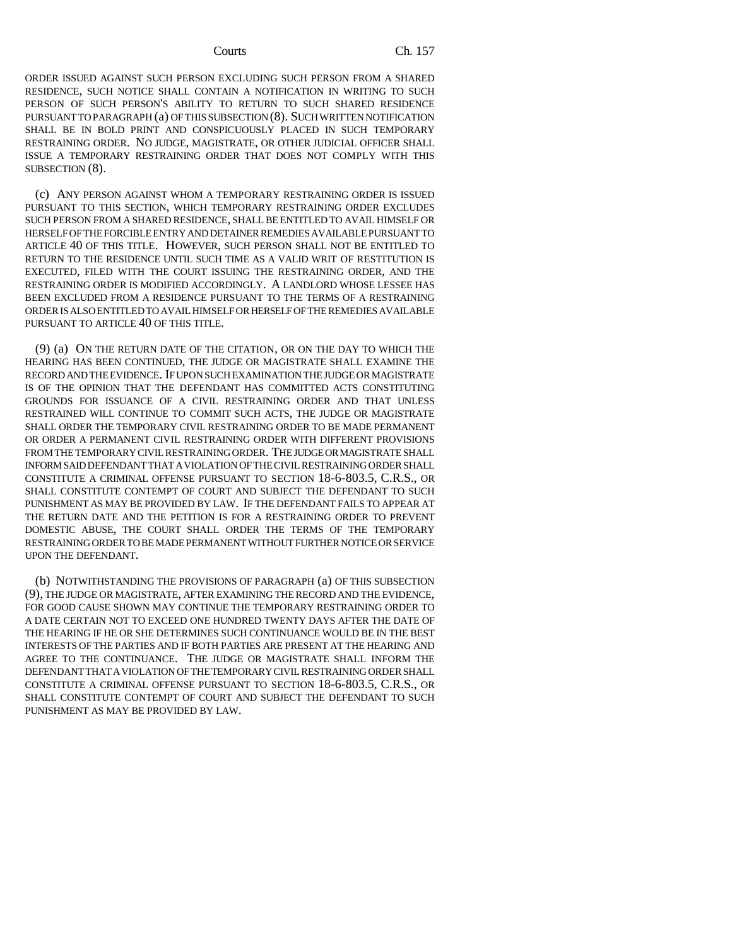ORDER ISSUED AGAINST SUCH PERSON EXCLUDING SUCH PERSON FROM A SHARED RESIDENCE, SUCH NOTICE SHALL CONTAIN A NOTIFICATION IN WRITING TO SUCH PERSON OF SUCH PERSON'S ABILITY TO RETURN TO SUCH SHARED RESIDENCE PURSUANT TO PARAGRAPH (a) OF THIS SUBSECTION (8). SUCH WRITTEN NOTIFICATION SHALL BE IN BOLD PRINT AND CONSPICUOUSLY PLACED IN SUCH TEMPORARY RESTRAINING ORDER. NO JUDGE, MAGISTRATE, OR OTHER JUDICIAL OFFICER SHALL ISSUE A TEMPORARY RESTRAINING ORDER THAT DOES NOT COMPLY WITH THIS SUBSECTION (8).

(c) ANY PERSON AGAINST WHOM A TEMPORARY RESTRAINING ORDER IS ISSUED PURSUANT TO THIS SECTION, WHICH TEMPORARY RESTRAINING ORDER EXCLUDES SUCH PERSON FROM A SHARED RESIDENCE, SHALL BE ENTITLED TO AVAIL HIMSELF OR HERSELF OF THE FORCIBLE ENTRY AND DETAINER REMEDIES AVAILABLE PURSUANT TO ARTICLE 40 OF THIS TITLE. HOWEVER, SUCH PERSON SHALL NOT BE ENTITLED TO RETURN TO THE RESIDENCE UNTIL SUCH TIME AS A VALID WRIT OF RESTITUTION IS EXECUTED, FILED WITH THE COURT ISSUING THE RESTRAINING ORDER, AND THE RESTRAINING ORDER IS MODIFIED ACCORDINGLY. A LANDLORD WHOSE LESSEE HAS BEEN EXCLUDED FROM A RESIDENCE PURSUANT TO THE TERMS OF A RESTRAINING ORDER IS ALSO ENTITLED TO AVAIL HIMSELF OR HERSELF OF THE REMEDIES AVAILABLE PURSUANT TO ARTICLE 40 OF THIS TITLE.

(9) (a) ON THE RETURN DATE OF THE CITATION, OR ON THE DAY TO WHICH THE HEARING HAS BEEN CONTINUED, THE JUDGE OR MAGISTRATE SHALL EXAMINE THE RECORD AND THE EVIDENCE. IF UPON SUCH EXAMINATION THE JUDGE OR MAGISTRATE IS OF THE OPINION THAT THE DEFENDANT HAS COMMITTED ACTS CONSTITUTING GROUNDS FOR ISSUANCE OF A CIVIL RESTRAINING ORDER AND THAT UNLESS RESTRAINED WILL CONTINUE TO COMMIT SUCH ACTS, THE JUDGE OR MAGISTRATE SHALL ORDER THE TEMPORARY CIVIL RESTRAINING ORDER TO BE MADE PERMANENT OR ORDER A PERMANENT CIVIL RESTRAINING ORDER WITH DIFFERENT PROVISIONS FROM THE TEMPORARY CIVIL RESTRAINING ORDER. THE JUDGE OR MAGISTRATE SHALL INFORM SAID DEFENDANT THAT A VIOLATION OF THE CIVIL RESTRAINING ORDER SHALL CONSTITUTE A CRIMINAL OFFENSE PURSUANT TO SECTION 18-6-803.5, C.R.S., OR SHALL CONSTITUTE CONTEMPT OF COURT AND SUBJECT THE DEFENDANT TO SUCH PUNISHMENT AS MAY BE PROVIDED BY LAW. IF THE DEFENDANT FAILS TO APPEAR AT THE RETURN DATE AND THE PETITION IS FOR A RESTRAINING ORDER TO PREVENT DOMESTIC ABUSE, THE COURT SHALL ORDER THE TERMS OF THE TEMPORARY RESTRAINING ORDER TO BE MADE PERMANENT WITHOUT FURTHER NOTICE OR SERVICE UPON THE DEFENDANT.

(b) NOTWITHSTANDING THE PROVISIONS OF PARAGRAPH (a) OF THIS SUBSECTION (9), THE JUDGE OR MAGISTRATE, AFTER EXAMINING THE RECORD AND THE EVIDENCE, FOR GOOD CAUSE SHOWN MAY CONTINUE THE TEMPORARY RESTRAINING ORDER TO A DATE CERTAIN NOT TO EXCEED ONE HUNDRED TWENTY DAYS AFTER THE DATE OF THE HEARING IF HE OR SHE DETERMINES SUCH CONTINUANCE WOULD BE IN THE BEST INTERESTS OF THE PARTIES AND IF BOTH PARTIES ARE PRESENT AT THE HEARING AND AGREE TO THE CONTINUANCE. THE JUDGE OR MAGISTRATE SHALL INFORM THE DEFENDANT THAT A VIOLATION OF THE TEMPORARY CIVIL RESTRAINING ORDER SHALL CONSTITUTE A CRIMINAL OFFENSE PURSUANT TO SECTION 18-6-803.5, C.R.S., OR SHALL CONSTITUTE CONTEMPT OF COURT AND SUBJECT THE DEFENDANT TO SUCH PUNISHMENT AS MAY BE PROVIDED BY LAW.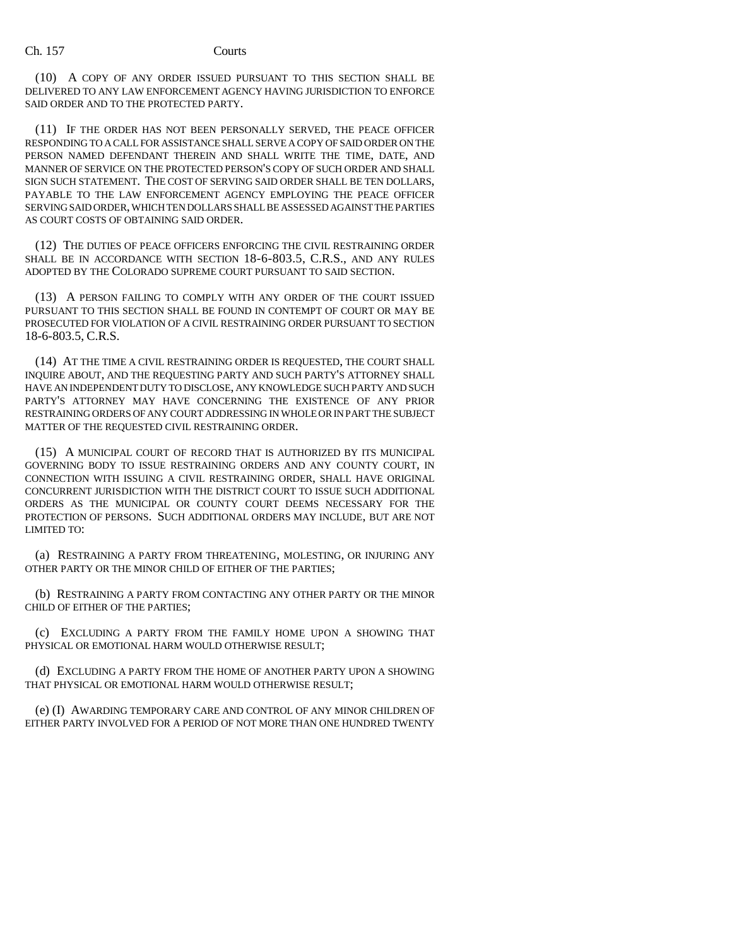(10) A COPY OF ANY ORDER ISSUED PURSUANT TO THIS SECTION SHALL BE DELIVERED TO ANY LAW ENFORCEMENT AGENCY HAVING JURISDICTION TO ENFORCE SAID ORDER AND TO THE PROTECTED PARTY.

(11) IF THE ORDER HAS NOT BEEN PERSONALLY SERVED, THE PEACE OFFICER RESPONDING TO A CALL FOR ASSISTANCE SHALL SERVE A COPY OF SAID ORDER ON THE PERSON NAMED DEFENDANT THEREIN AND SHALL WRITE THE TIME, DATE, AND MANNER OF SERVICE ON THE PROTECTED PERSON'S COPY OF SUCH ORDER AND SHALL SIGN SUCH STATEMENT. THE COST OF SERVING SAID ORDER SHALL BE TEN DOLLARS, PAYABLE TO THE LAW ENFORCEMENT AGENCY EMPLOYING THE PEACE OFFICER SERVING SAID ORDER, WHICH TEN DOLLARS SHALL BE ASSESSED AGAINST THE PARTIES AS COURT COSTS OF OBTAINING SAID ORDER.

(12) THE DUTIES OF PEACE OFFICERS ENFORCING THE CIVIL RESTRAINING ORDER SHALL BE IN ACCORDANCE WITH SECTION 18-6-803.5, C.R.S., AND ANY RULES ADOPTED BY THE COLORADO SUPREME COURT PURSUANT TO SAID SECTION.

(13) A PERSON FAILING TO COMPLY WITH ANY ORDER OF THE COURT ISSUED PURSUANT TO THIS SECTION SHALL BE FOUND IN CONTEMPT OF COURT OR MAY BE PROSECUTED FOR VIOLATION OF A CIVIL RESTRAINING ORDER PURSUANT TO SECTION 18-6-803.5, C.R.S.

(14) AT THE TIME A CIVIL RESTRAINING ORDER IS REQUESTED, THE COURT SHALL INQUIRE ABOUT, AND THE REQUESTING PARTY AND SUCH PARTY'S ATTORNEY SHALL HAVE AN INDEPENDENT DUTY TO DISCLOSE, ANY KNOWLEDGE SUCH PARTY AND SUCH PARTY'S ATTORNEY MAY HAVE CONCERNING THE EXISTENCE OF ANY PRIOR RESTRAINING ORDERS OF ANY COURT ADDRESSING IN WHOLE OR IN PART THE SUBJECT MATTER OF THE REQUESTED CIVIL RESTRAINING ORDER.

(15) A MUNICIPAL COURT OF RECORD THAT IS AUTHORIZED BY ITS MUNICIPAL GOVERNING BODY TO ISSUE RESTRAINING ORDERS AND ANY COUNTY COURT, IN CONNECTION WITH ISSUING A CIVIL RESTRAINING ORDER, SHALL HAVE ORIGINAL CONCURRENT JURISDICTION WITH THE DISTRICT COURT TO ISSUE SUCH ADDITIONAL ORDERS AS THE MUNICIPAL OR COUNTY COURT DEEMS NECESSARY FOR THE PROTECTION OF PERSONS. SUCH ADDITIONAL ORDERS MAY INCLUDE, BUT ARE NOT LIMITED TO:

(a) RESTRAINING A PARTY FROM THREATENING, MOLESTING, OR INJURING ANY OTHER PARTY OR THE MINOR CHILD OF EITHER OF THE PARTIES;

(b) RESTRAINING A PARTY FROM CONTACTING ANY OTHER PARTY OR THE MINOR CHILD OF EITHER OF THE PARTIES;

(c) EXCLUDING A PARTY FROM THE FAMILY HOME UPON A SHOWING THAT PHYSICAL OR EMOTIONAL HARM WOULD OTHERWISE RESULT;

(d) EXCLUDING A PARTY FROM THE HOME OF ANOTHER PARTY UPON A SHOWING THAT PHYSICAL OR EMOTIONAL HARM WOULD OTHERWISE RESULT;

(e) (I) AWARDING TEMPORARY CARE AND CONTROL OF ANY MINOR CHILDREN OF EITHER PARTY INVOLVED FOR A PERIOD OF NOT MORE THAN ONE HUNDRED TWENTY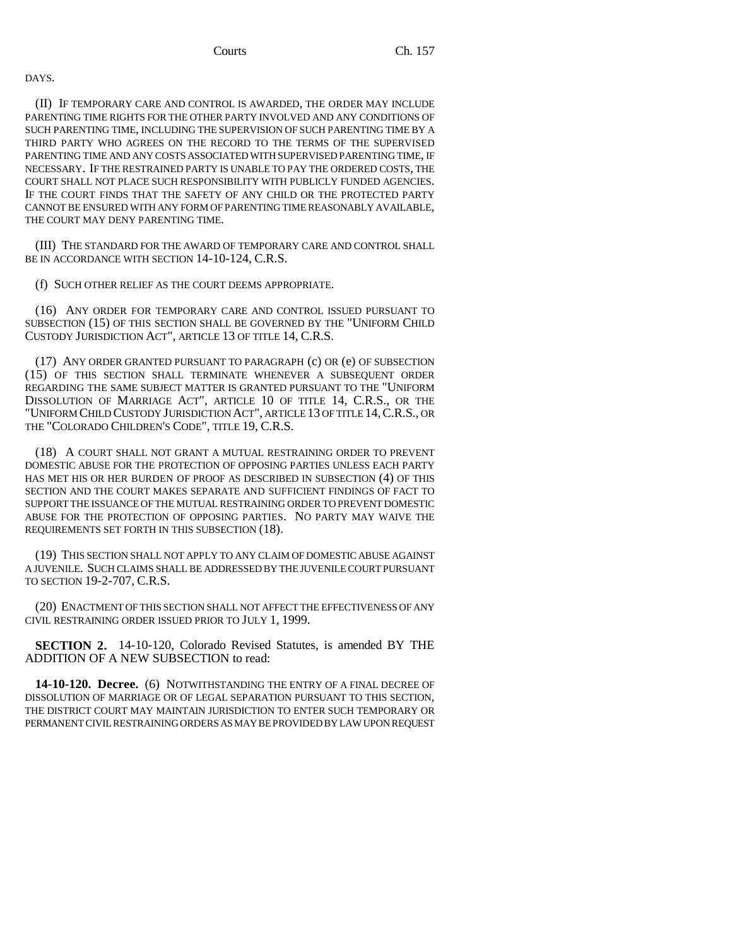DAYS.

(II) IF TEMPORARY CARE AND CONTROL IS AWARDED, THE ORDER MAY INCLUDE PARENTING TIME RIGHTS FOR THE OTHER PARTY INVOLVED AND ANY CONDITIONS OF SUCH PARENTING TIME, INCLUDING THE SUPERVISION OF SUCH PARENTING TIME BY A THIRD PARTY WHO AGREES ON THE RECORD TO THE TERMS OF THE SUPERVISED PARENTING TIME AND ANY COSTS ASSOCIATED WITH SUPERVISED PARENTING TIME, IF NECESSARY. IF THE RESTRAINED PARTY IS UNABLE TO PAY THE ORDERED COSTS, THE COURT SHALL NOT PLACE SUCH RESPONSIBILITY WITH PUBLICLY FUNDED AGENCIES. IF THE COURT FINDS THAT THE SAFETY OF ANY CHILD OR THE PROTECTED PARTY CANNOT BE ENSURED WITH ANY FORM OF PARENTING TIME REASONABLY AVAILABLE, THE COURT MAY DENY PARENTING TIME.

(III) THE STANDARD FOR THE AWARD OF TEMPORARY CARE AND CONTROL SHALL BE IN ACCORDANCE WITH SECTION 14-10-124, C.R.S.

(f) SUCH OTHER RELIEF AS THE COURT DEEMS APPROPRIATE.

(16) ANY ORDER FOR TEMPORARY CARE AND CONTROL ISSUED PURSUANT TO SUBSECTION (15) OF THIS SECTION SHALL BE GOVERNED BY THE "UNIFORM CHILD CUSTODY JURISDICTION ACT", ARTICLE 13 OF TITLE 14, C.R.S.

(17) ANY ORDER GRANTED PURSUANT TO PARAGRAPH (c) OR (e) OF SUBSECTION (15) OF THIS SECTION SHALL TERMINATE WHENEVER A SUBSEQUENT ORDER REGARDING THE SAME SUBJECT MATTER IS GRANTED PURSUANT TO THE "UNIFORM DISSOLUTION OF MARRIAGE ACT", ARTICLE 10 OF TITLE 14, C.R.S., OR THE "UNIFORM CHILD CUSTODY JURISDICTION ACT", ARTICLE 13 OF TITLE 14,C.R.S., OR THE "COLORADO CHILDREN'S CODE", TITLE 19, C.R.S.

(18) A COURT SHALL NOT GRANT A MUTUAL RESTRAINING ORDER TO PREVENT DOMESTIC ABUSE FOR THE PROTECTION OF OPPOSING PARTIES UNLESS EACH PARTY HAS MET HIS OR HER BURDEN OF PROOF AS DESCRIBED IN SUBSECTION (4) OF THIS SECTION AND THE COURT MAKES SEPARATE AND SUFFICIENT FINDINGS OF FACT TO SUPPORT THE ISSUANCE OF THE MUTUAL RESTRAINING ORDER TO PREVENT DOMESTIC ABUSE FOR THE PROTECTION OF OPPOSING PARTIES. NO PARTY MAY WAIVE THE REQUIREMENTS SET FORTH IN THIS SUBSECTION (18).

(19) THIS SECTION SHALL NOT APPLY TO ANY CLAIM OF DOMESTIC ABUSE AGAINST A JUVENILE. SUCH CLAIMS SHALL BE ADDRESSED BY THE JUVENILE COURT PURSUANT TO SECTION 19-2-707, C.R.S.

(20) ENACTMENT OF THIS SECTION SHALL NOT AFFECT THE EFFECTIVENESS OF ANY CIVIL RESTRAINING ORDER ISSUED PRIOR TO JULY 1, 1999.

**SECTION 2.** 14-10-120, Colorado Revised Statutes, is amended BY THE ADDITION OF A NEW SUBSECTION to read:

**14-10-120. Decree.** (6) NOTWITHSTANDING THE ENTRY OF A FINAL DECREE OF DISSOLUTION OF MARRIAGE OR OF LEGAL SEPARATION PURSUANT TO THIS SECTION, THE DISTRICT COURT MAY MAINTAIN JURISDICTION TO ENTER SUCH TEMPORARY OR PERMANENT CIVIL RESTRAINING ORDERS AS MAY BE PROVIDED BY LAW UPON REQUEST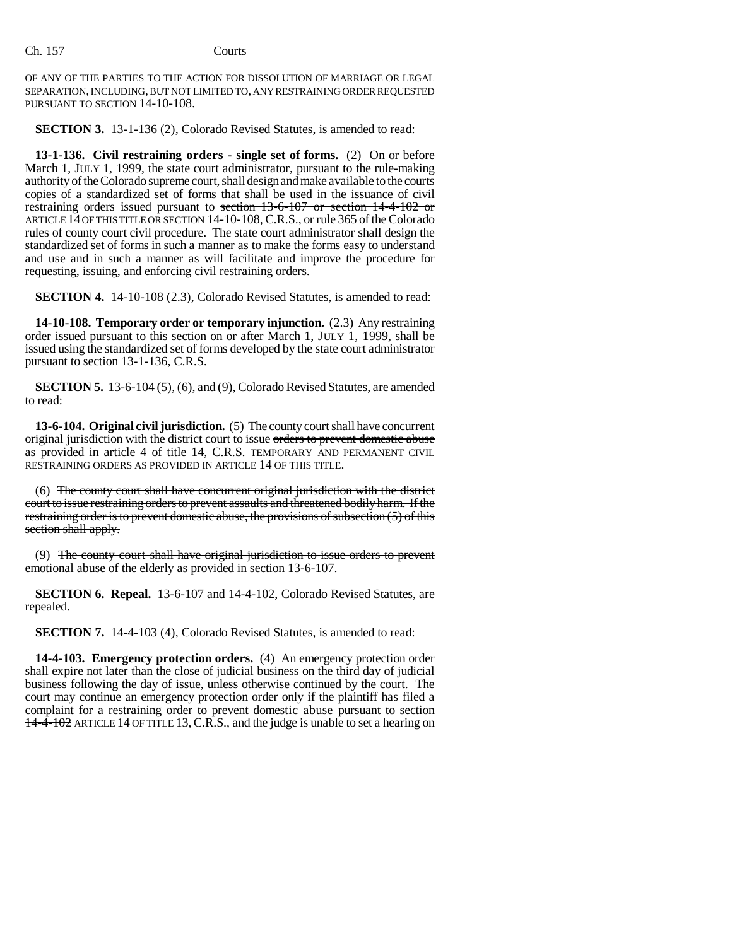Ch. 157 Courts

OF ANY OF THE PARTIES TO THE ACTION FOR DISSOLUTION OF MARRIAGE OR LEGAL SEPARATION, INCLUDING, BUT NOT LIMITED TO, ANY RESTRAINING ORDER REQUESTED PURSUANT TO SECTION 14-10-108.

**SECTION 3.** 13-1-136 (2), Colorado Revised Statutes, is amended to read:

**13-1-136. Civil restraining orders - single set of forms.** (2) On or before March 1, JULY 1, 1999, the state court administrator, pursuant to the rule-making authority of the Colorado supreme court, shall design and make available to the courts copies of a standardized set of forms that shall be used in the issuance of civil restraining orders issued pursuant to section 13-6-107 or section 14-4-102 or ARTICLE 14 OF THIS TITLE OR SECTION 14-10-108, C.R.S., or rule 365 of the Colorado rules of county court civil procedure. The state court administrator shall design the standardized set of forms in such a manner as to make the forms easy to understand and use and in such a manner as will facilitate and improve the procedure for requesting, issuing, and enforcing civil restraining orders.

**SECTION 4.** 14-10-108 (2.3), Colorado Revised Statutes, is amended to read:

**14-10-108. Temporary order or temporary injunction.** (2.3) Any restraining order issued pursuant to this section on or after March 1, JULY 1, 1999, shall be issued using the standardized set of forms developed by the state court administrator pursuant to section 13-1-136, C.R.S.

**SECTION 5.** 13-6-104 (5), (6), and (9), Colorado Revised Statutes, are amended to read:

**13-6-104. Original civil jurisdiction.** (5) The county court shall have concurrent original jurisdiction with the district court to issue orders to prevent domestic abuse as provided in article 4 of title 14, C.R.S. TEMPORARY AND PERMANENT CIVIL RESTRAINING ORDERS AS PROVIDED IN ARTICLE 14 OF THIS TITLE.

(6) The county court shall have concurrent original jurisdiction with the district court to issue restraining orders to prevent assaults and threatened bodily harm. If the restraining order is to prevent domestic abuse, the provisions of subsection (5) of this section shall apply.

(9) The county court shall have original jurisdiction to issue orders to prevent emotional abuse of the elderly as provided in section 13-6-107.

**SECTION 6. Repeal.** 13-6-107 and 14-4-102, Colorado Revised Statutes, are repealed.

**SECTION 7.** 14-4-103 (4), Colorado Revised Statutes, is amended to read:

**14-4-103. Emergency protection orders.** (4) An emergency protection order shall expire not later than the close of judicial business on the third day of judicial business following the day of issue, unless otherwise continued by the court. The court may continue an emergency protection order only if the plaintiff has filed a complaint for a restraining order to prevent domestic abuse pursuant to section 14-4-102 ARTICLE 14 OF TITLE 13,C.R.S., and the judge is unable to set a hearing on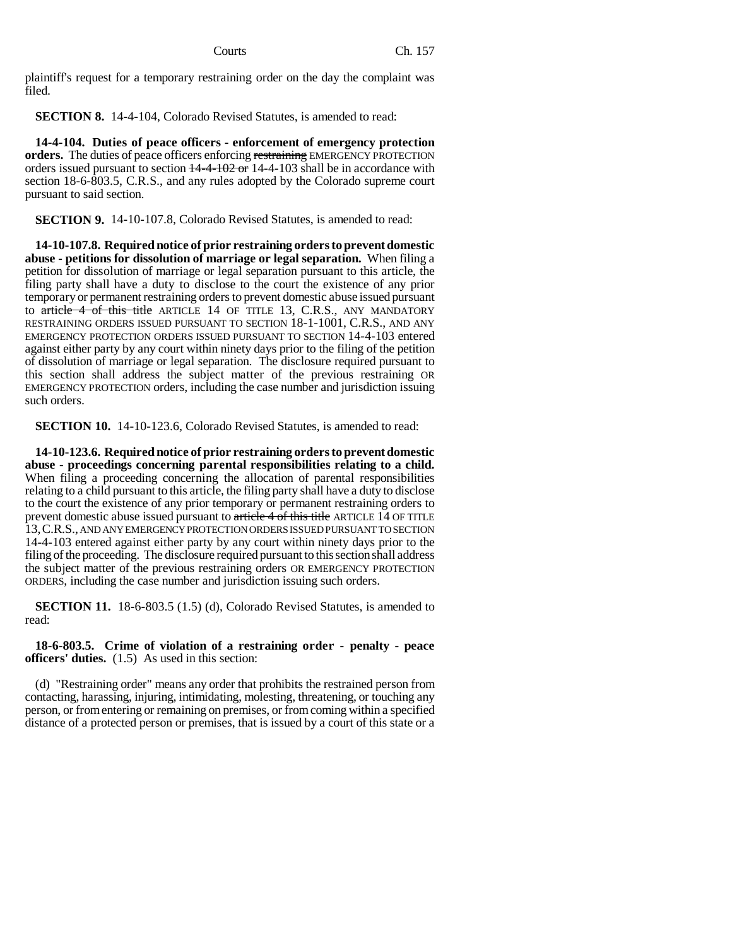plaintiff's request for a temporary restraining order on the day the complaint was filed.

**SECTION 8.** 14-4-104, Colorado Revised Statutes, is amended to read:

**14-4-104. Duties of peace officers - enforcement of emergency protection orders.** The duties of peace officers enforcing restraining EMERGENCY PROTECTION orders issued pursuant to section  $\frac{14-4-102}{2}$  or 14-4-103 shall be in accordance with section 18-6-803.5, C.R.S., and any rules adopted by the Colorado supreme court pursuant to said section.

**SECTION 9.** 14-10-107.8, Colorado Revised Statutes, is amended to read:

**14-10-107.8. Required notice of prior restraining orders to prevent domestic abuse - petitions for dissolution of marriage or legal separation.** When filing a petition for dissolution of marriage or legal separation pursuant to this article, the filing party shall have a duty to disclose to the court the existence of any prior temporary or permanent restraining orders to prevent domestic abuse issued pursuant to article 4 of this title ARTICLE 14 OF TITLE 13, C.R.S., ANY MANDATORY RESTRAINING ORDERS ISSUED PURSUANT TO SECTION 18-1-1001, C.R.S., AND ANY EMERGENCY PROTECTION ORDERS ISSUED PURSUANT TO SECTION 14-4-103 entered against either party by any court within ninety days prior to the filing of the petition of dissolution of marriage or legal separation. The disclosure required pursuant to this section shall address the subject matter of the previous restraining OR EMERGENCY PROTECTION orders, including the case number and jurisdiction issuing such orders.

**SECTION 10.** 14-10-123.6, Colorado Revised Statutes, is amended to read:

**14-10-123.6. Required notice of prior restraining orders to prevent domestic abuse - proceedings concerning parental responsibilities relating to a child.** When filing a proceeding concerning the allocation of parental responsibilities relating to a child pursuant to this article, the filing party shall have a duty to disclose to the court the existence of any prior temporary or permanent restraining orders to prevent domestic abuse issued pursuant to article 4 of this title ARTICLE 14 OF TITLE 13,C.R.S., AND ANY EMERGENCY PROTECTION ORDERS ISSUED PURSUANT TO SECTION 14-4-103 entered against either party by any court within ninety days prior to the filing of the proceeding. The disclosure required pursuant to this section shall address the subject matter of the previous restraining orders OR EMERGENCY PROTECTION ORDERS, including the case number and jurisdiction issuing such orders.

**SECTION 11.** 18-6-803.5 (1.5) (d), Colorado Revised Statutes, is amended to read:

**18-6-803.5. Crime of violation of a restraining order - penalty - peace officers' duties.** (1.5) As used in this section:

(d) "Restraining order" means any order that prohibits the restrained person from contacting, harassing, injuring, intimidating, molesting, threatening, or touching any person, or from entering or remaining on premises, or from coming within a specified distance of a protected person or premises, that is issued by a court of this state or a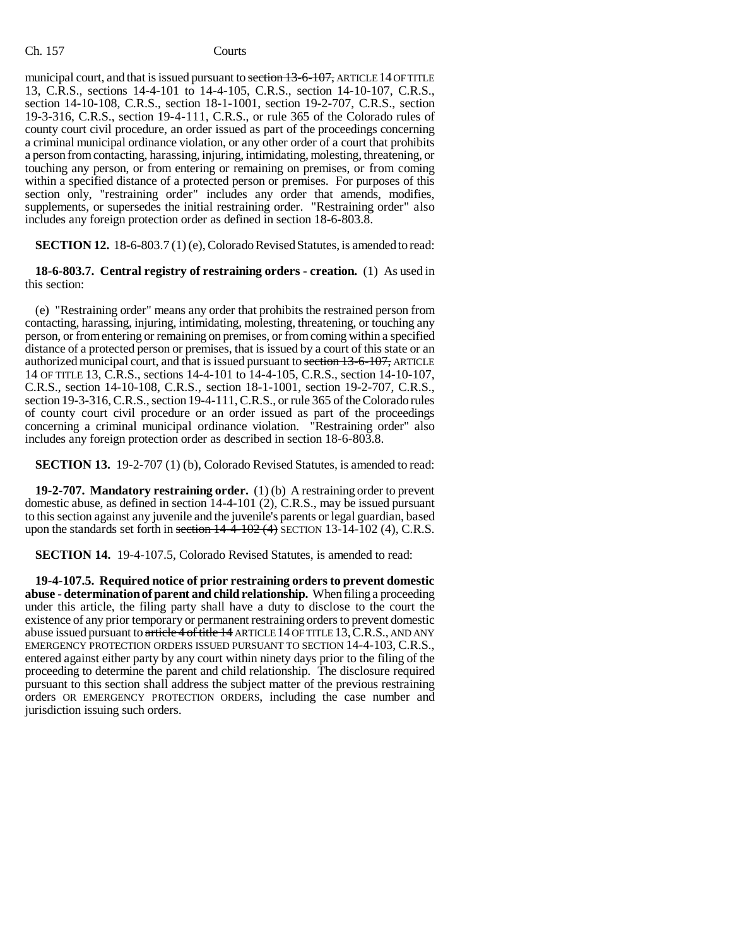municipal court, and that is issued pursuant to section 13-6-107, ARTICLE 14 OF TITLE 13, C.R.S., sections 14-4-101 to 14-4-105, C.R.S., section 14-10-107, C.R.S., section 14-10-108, C.R.S., section 18-1-1001, section 19-2-707, C.R.S., section 19-3-316, C.R.S., section 19-4-111, C.R.S., or rule 365 of the Colorado rules of county court civil procedure, an order issued as part of the proceedings concerning a criminal municipal ordinance violation, or any other order of a court that prohibits a person from contacting, harassing, injuring, intimidating, molesting, threatening, or touching any person, or from entering or remaining on premises, or from coming within a specified distance of a protected person or premises. For purposes of this section only, "restraining order" includes any order that amends, modifies, supplements, or supersedes the initial restraining order. "Restraining order" also includes any foreign protection order as defined in section 18-6-803.8.

**SECTION 12.** 18-6-803.7 (1) (e), Colorado Revised Statutes, is amended to read:

**18-6-803.7. Central registry of restraining orders - creation.** (1) As used in this section:

(e) "Restraining order" means any order that prohibits the restrained person from contacting, harassing, injuring, intimidating, molesting, threatening, or touching any person, or from entering or remaining on premises, or from coming within a specified distance of a protected person or premises, that is issued by a court of this state or an authorized municipal court, and that is issued pursuant to section 13-6-107, ARTICLE 14 OF TITLE 13, C.R.S., sections 14-4-101 to 14-4-105, C.R.S., section 14-10-107, C.R.S., section 14-10-108, C.R.S., section 18-1-1001, section 19-2-707, C.R.S., section 19-3-316, C.R.S., section 19-4-111, C.R.S., or rule 365 of the Colorado rules of county court civil procedure or an order issued as part of the proceedings concerning a criminal municipal ordinance violation. "Restraining order" also includes any foreign protection order as described in section 18-6-803.8.

**SECTION 13.** 19-2-707 (1) (b), Colorado Revised Statutes, is amended to read:

**19-2-707. Mandatory restraining order.** (1) (b) A restraining order to prevent domestic abuse, as defined in section 14-4-101 (2), C.R.S., may be issued pursuant to this section against any juvenile and the juvenile's parents or legal guardian, based upon the standards set forth in section  $14-4-102$  (4) SECTION 13-14-102 (4), C.R.S.

**SECTION 14.** 19-4-107.5, Colorado Revised Statutes, is amended to read:

**19-4-107.5. Required notice of prior restraining orders to prevent domestic abuse - determination of parent and child relationship.** When filing a proceeding under this article, the filing party shall have a duty to disclose to the court the existence of any prior temporary or permanent restraining orders to prevent domestic abuse issued pursuant to article 4 of title 14 ARTICLE 14 OF TITLE 13, C.R.S., AND ANY EMERGENCY PROTECTION ORDERS ISSUED PURSUANT TO SECTION 14-4-103, C.R.S., entered against either party by any court within ninety days prior to the filing of the proceeding to determine the parent and child relationship. The disclosure required pursuant to this section shall address the subject matter of the previous restraining orders OR EMERGENCY PROTECTION ORDERS, including the case number and jurisdiction issuing such orders.